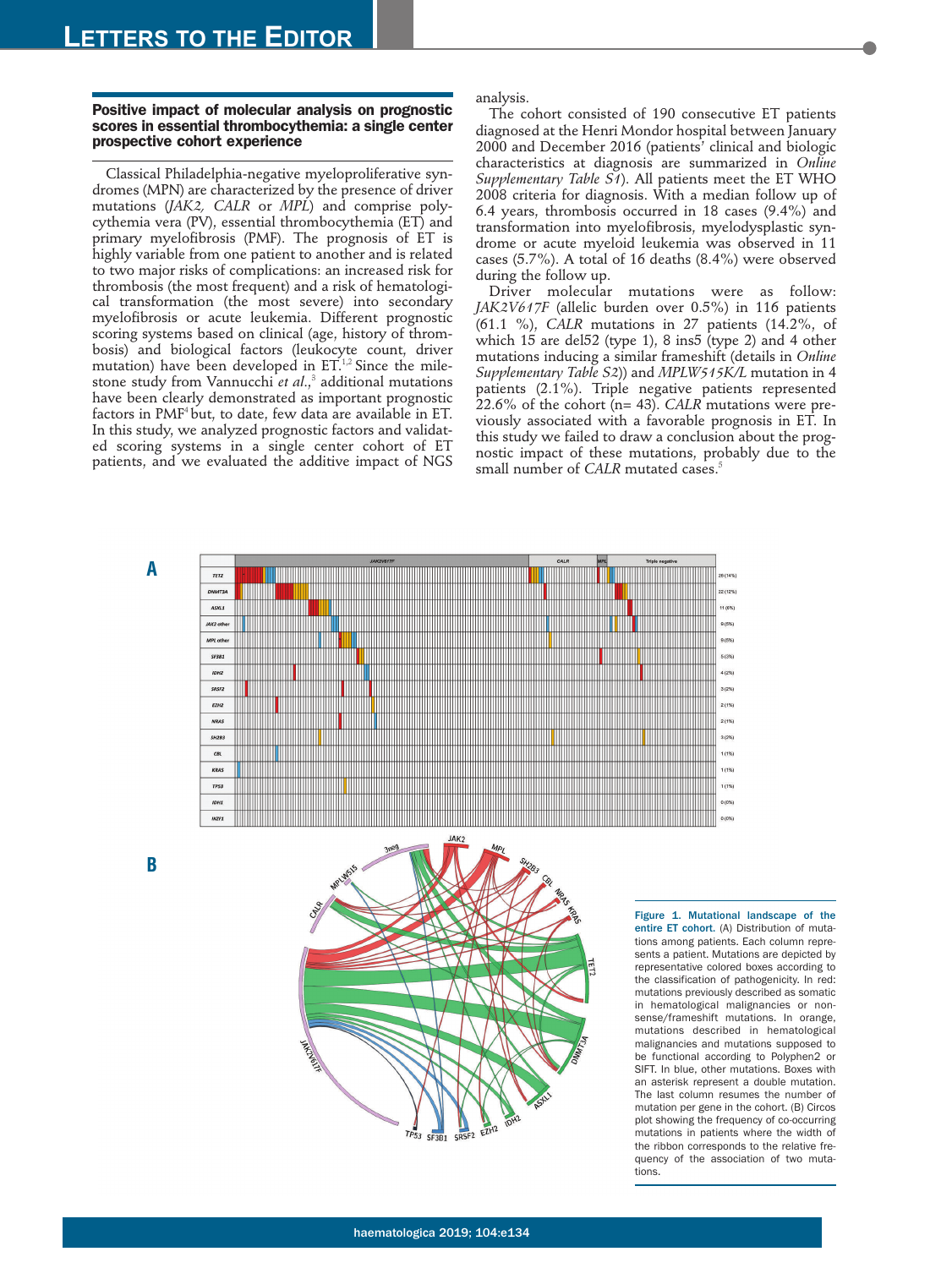## **Positive impact of molecular analysis on prognostic scores in essential thrombocythemia: a single center prospective cohort experience**

Classical Philadelphia-negative myeloproliferative syndromes (MPN) are characterized by the presence of driver mutations (*JAK2, CALR* or *MPL*) and comprise polycythemia vera (PV), essential thrombocythemia (ET) and primary myelofibrosis (PMF). The prognosis of ET is highly variable from one patient to another and is related to two major risks of complications: an increased risk for thrombosis (the most frequent) and a risk of hematological transformation (the most severe) into secondary myelofibrosis or acute leukemia. Different prognostic scoring systems based on clinical (age, history of thrombosis) and biological factors (leukocyte count, driver mutation) have been developed in  $ET^{1,2}$  Since the milestone study from Vannucchi *et al.*,<sup>3</sup> additional mutations have been clearly demonstrated as important prognostic factors in PMF<sup>4</sup>but, to date, few data are available in ET. In this study, we analyzed prognostic factors and validated scoring systems in a single center cohort of ET patients, and we evaluated the additive impact of NGS analysis.

The cohort consisted of 190 consecutive ET patients diagnosed at the Henri Mondor hospital between January 2000 and December 2016 (patients' clinical and biologic characteristics at diagnosis are summarized in *Online Supplementary Table S1*). All patients meet the ET WHO 2008 criteria for diagnosis. With a median follow up of 6.4 years, thrombosis occurred in 18 cases (9.4%) and transformation into myelofibrosis, myelodysplastic syndrome or acute myeloid leukemia was observed in 11 cases (5.7%). A total of 16 deaths (8.4%) were observed during the follow up.

Driver molecular mutations were as follow: *JAK2V617F* (allelic burden over 0.5%) in 116 patients (61.1 %), *CALR* mutations in 27 patients (14.2%, of which 15 are del52 (type 1), 8 ins5 (type 2) and 4 other mutations inducing a similar frameshift (details in *Online Supplementary Table S2*)) and *MPLW515K/L* mutation in 4 patients (2.1%). Triple negative patients represented 22.6% of the cohort (n= 43). *CALR* mutations were previously associated with a favorable prognosis in ET. In this study we failed to draw a conclusion about the prognostic impact of these mutations, probably due to the small number of *CALR* mutated cases.<sup>5</sup>



entire ET cohort. (A) Distribution of mutations among patients. Each column represents a patient. Mutations are depicted by representative colored boxes according to the classification of pathogenicity. In red: mutations previously described as somatic in hematological malignancies or nonsense/frameshift mutations. In orange, mutations described in hematological malignancies and mutations supposed to be functional according to Polyphen2 or SIFT. In blue, other mutations. Boxes with an asterisk represent a double mutation. The last column resumes the number of mutation per gene in the cohort. (B) Circos plot showing the frequency of co-occurring mutations in patients where the width of the ribbon corresponds to the relative frequency of the association of two muta-

tions.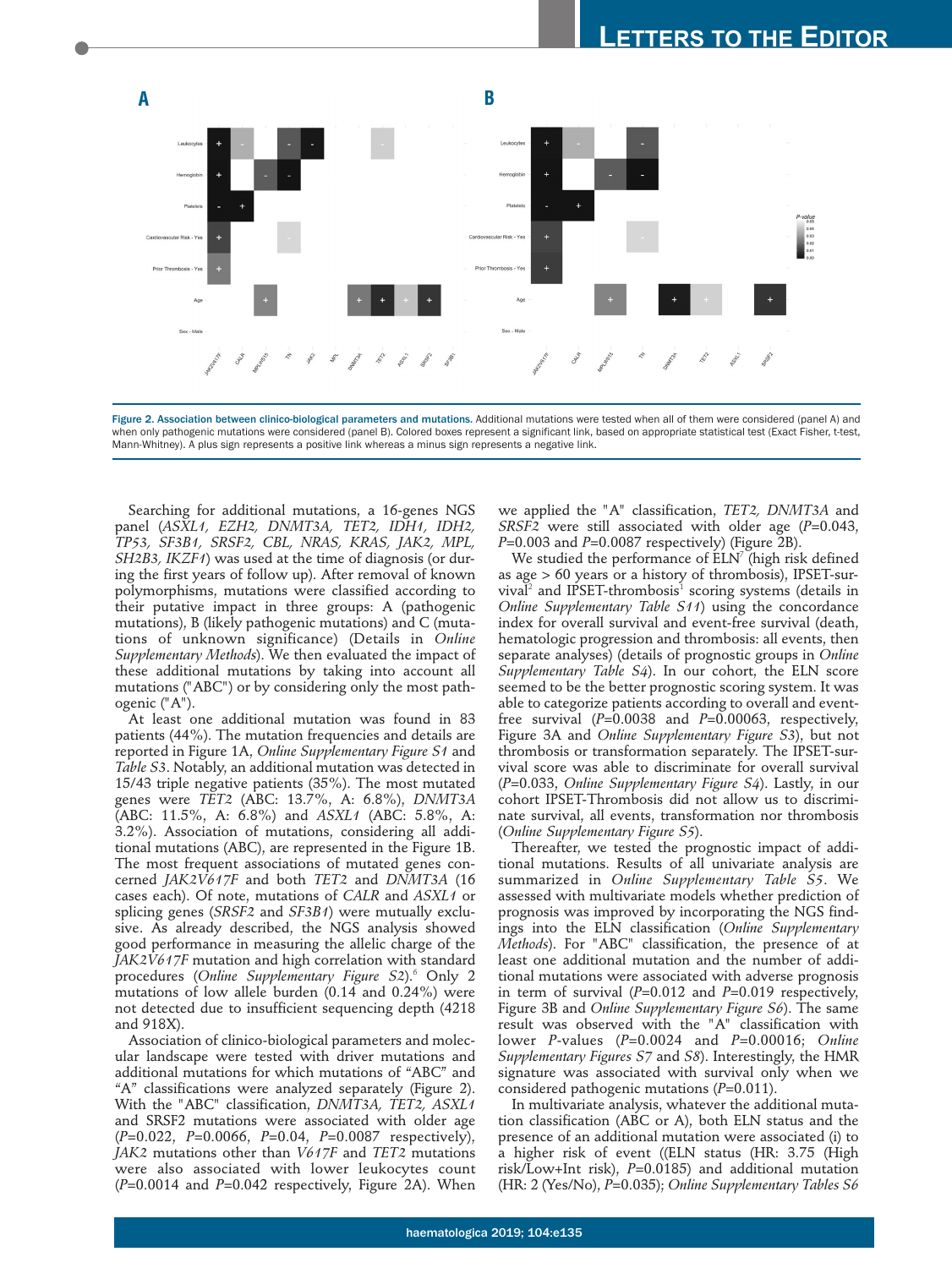

Figure 2. Association between clinico-biological parameters and mutations. Additional mutations were tested when all of them were considered (panel A) and when only pathogenic mutations were considered (panel B). Colored boxes represent a significant link, based on appropriate statistical test (Exact Fisher, t-test, Mann-Whitney). A plus sign represents a positive link whereas a minus sign represents a negative link.

Searching for additional mutations, a 16-genes NGS panel (*ASXL1, EZH2, DNMT3A, TET2, IDH1, IDH2, TP53, SF3B1, SRSF2, CBL, NRAS, KRAS, JAK2, MPL, SH2B3, IKZF1*) was used at the time of diagnosis (or during the first years of follow up). After removal of known polymorphisms, mutations were classified according to their putative impact in three groups: A (pathogenic mutations), B (likely pathogenic mutations) and C (mutations of unknown significance) (Details in *Online Supplementary Methods*). We then evaluated the impact of these additional mutations by taking into account all mutations ("ABC") or by considering only the most pathogenic ("A").

At least one additional mutation was found in 83 patients (44%). The mutation frequencies and details are reported in Figure 1A, *Online Supplementary Figure S1* and *Table S3*. Notably, an additional mutation was detected in 15/43 triple negative patients (35%). The most mutated genes were *TET2* (ABC: 13.7%, A: 6.8%), *DNMT3A* (ABC: 11.5%, A: 6.8%) and *ASXL1* (ABC: 5.8%, A: 3.2%). Association of mutations, considering all additional mutations (ABC), are represented in the Figure 1B. The most frequent associations of mutated genes concerned *JAK2V617F* and both *TET2* and *DNMT3A* (16 cases each). Of note, mutations of *CALR* and *ASXL1* or splicing genes (*SRSF2* and *SF3B1*) were mutually exclusive. As already described, the NGS analysis showed good performance in measuring the allelic charge of the *JAK2V617F* mutation and high correlation with standard procedures (*Online Supplementary Figure S2*).<sup>6</sup> Only 2 mutations of low allele burden (0.14 and 0.24%) were not detected due to insufficient sequencing depth (4218 and 918X).

Association of clinico-biological parameters and molecular landscape were tested with driver mutations and additional mutations for which mutations of "ABC" and "A" classifications were analyzed separately (Figure 2). With the "ABC" classification, *DNMT3A, TET2, ASXL1* and SRSF2 mutations were associated with older age (*P*=0.022, *P*=0.0066, *P*=0.04, *P*=0.0087 respectively), *JAK2* mutations other than *V617F* and *TET2* mutations were also associated with lower leukocytes count (*P*=0.0014 and *P*=0.042 respectively, Figure 2A). When we applied the "A" classification, *TET2, DNMT3A* and *SRSF2* were still associated with older age (*P*=0.043, *P*=0.003 and *P*=0.0087 respectively) (Figure 2B).

We studied the performance of  $\text{ELN}^7$  (high risk defined as age > 60 years or a history of thrombosis), IPSET-survival<sup>2</sup> and IPSET-thrombosis<sup>1</sup> scoring systems (details in *Online Supplementary Table S11*) using the concordance index for overall survival and event-free survival (death, hematologic progression and thrombosis: all events, then separate analyses) (details of prognostic groups in *Online Supplementary Table S4*). In our cohort, the ELN score seemed to be the better prognostic scoring system. It was able to categorize patients according to overall and eventfree survival (*P*=0.0038 and *P*=0.00063, respectively, Figure 3A and *Online Supplementary Figure S3*), but not thrombosis or transformation separately. The IPSET-survival score was able to discriminate for overall survival (*P*=0.033, *Online Supplementary Figure S4*). Lastly, in our cohort IPSET-Thrombosis did not allow us to discriminate survival, all events, transformation nor thrombosis (*Online Supplementary Figure S5*).

Thereafter, we tested the prognostic impact of additional mutations. Results of all univariate analysis are summarized in *Online Supplementary Table S5*. We assessed with multivariate models whether prediction of prognosis was improved by incorporating the NGS findings into the ELN classification (*Online Supplementary Methods*). For "ABC" classification, the presence of at least one additional mutation and the number of additional mutations were associated with adverse prognosis in term of survival (*P*=0.012 and *P*=0.019 respectively, Figure 3B and *Online Supplementary Figure S6*). The same result was observed with the "A" classification with lower *P*-values (*P*=0.0024 and *P*=0.00016; *Online Supplementary Figures S7* and *S8*). Interestingly, the HMR signature was associated with survival only when we considered pathogenic mutations (*P*=0.011).

In multivariate analysis, whatever the additional mutation classification (ABC or A), both ELN status and the presence of an additional mutation were associated (i) to a higher risk of event ((ELN status (HR: 3.75 (High risk/Low+Int risk), *P*=0.0185) and additional mutation (HR: 2 (Yes/No), *P*=0.035); *Online Supplementary Tables S6*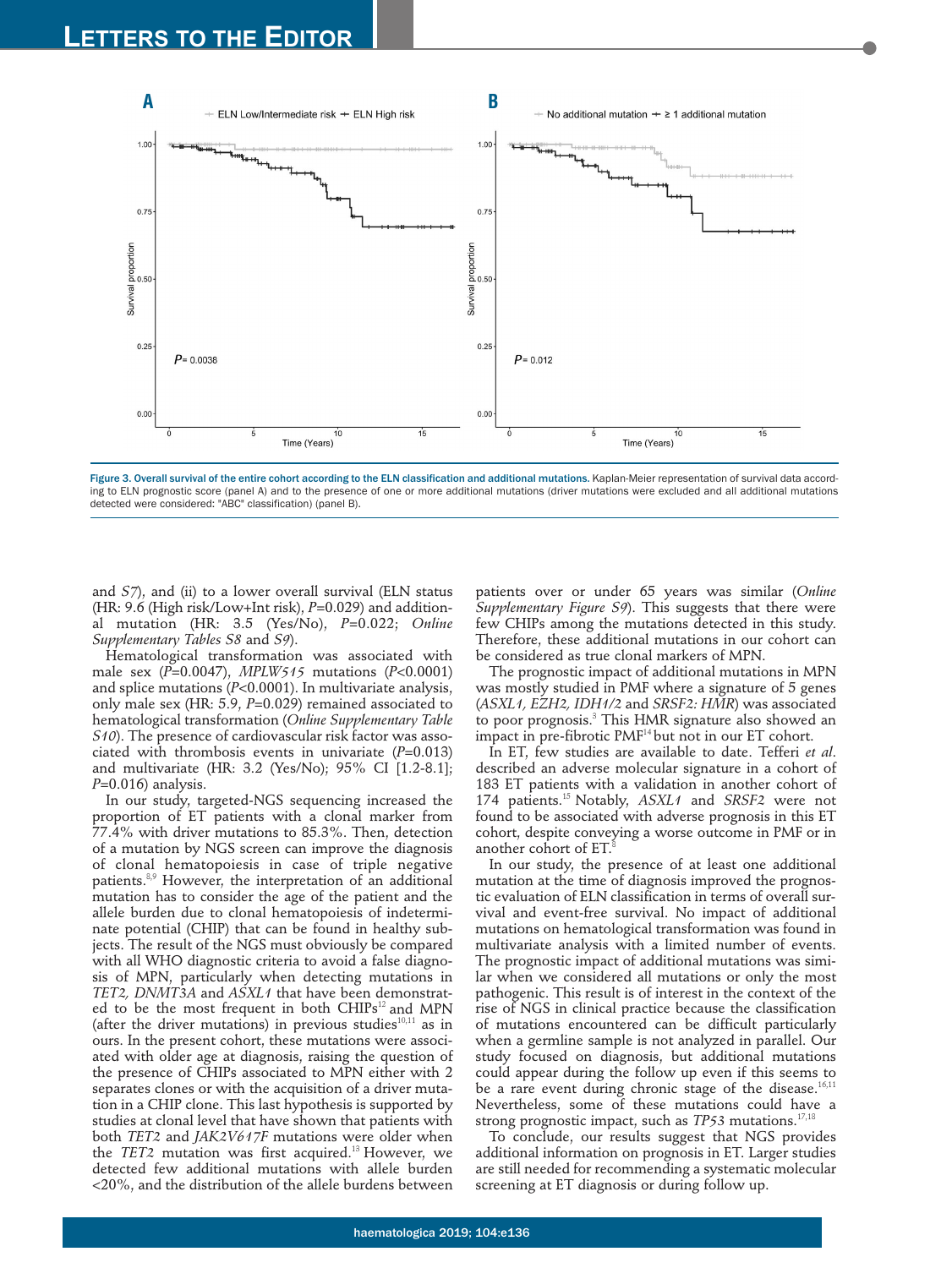

Figure 3. Overall survival of the entire cohort according to the ELN classification and additional mutations. Kaplan-Meier representation of survival data according to ELN prognostic score (panel A) and to the presence of one or more additional mutations (driver mutations were excluded and all additional mutations detected were considered: "ABC" classification) (panel B).

and *S7*), and (ii) to a lower overall survival (ELN status (HR: 9.6 (High risk/Low+Int risk), *P*=0.029) and additional mutation (HR: 3.5 (Yes/No), *P*=0.022; *Online Supplementary Tables S8* and *S9*).

Hematological transformation was associated with male sex (*P*=0.0047), *MPLW515* mutations (*P*<0.0001) and splice mutations (*P*<0.0001). In multivariate analysis, only male sex (HR: 5.9, *P*=0.029) remained associated to hematological transformation (*Online Supplementary Table S10*). The presence of cardiovascular risk factor was associated with thrombosis events in univariate (*P*=0.013) and multivariate (HR: 3.2 (Yes/No); 95% CI [1.2-8.1]; *P*=0.016) analysis.

In our study, targeted-NGS sequencing increased the proportion of ET patients with a clonal marker from 77.4% with driver mutations to 85.3%. Then, detection of a mutation by NGS screen can improve the diagnosis of clonal hematopoiesis in case of triple negative patients.<sup>8,9</sup> However, the interpretation of an additional mutation has to consider the age of the patient and the allele burden due to clonal hematopoiesis of indeterminate potential (CHIP) that can be found in healthy subjects. The result of the NGS must obviously be compared with all WHO diagnostic criteria to avoid a false diagnosis of MPN, particularly when detecting mutations in *TET2, DNMT3A* and *ASXL1* that have been demonstrated to be the most frequent in both CHIPs<sup>12</sup> and MPN (after the driver mutations) in previous studies $^{10,11}$  as in ours. In the present cohort, these mutations were associated with older age at diagnosis, raising the question of the presence of CHIPs associated to MPN either with 2 separates clones or with the acquisition of a driver mutation in a CHIP clone. This last hypothesis is supported by studies at clonal level that have shown that patients with both *TET2* and *JAK2V617F* mutations were older when the *TET2* mutation was first acquired.<sup>13</sup> However, we detected few additional mutations with allele burden <20%, and the distribution of the allele burdens between

patients over or under 65 years was similar (*Online Supplementary Figure S9*). This suggests that there were few CHIPs among the mutations detected in this study. Therefore, these additional mutations in our cohort can be considered as true clonal markers of MPN.

The prognostic impact of additional mutations in MPN was mostly studied in PMF where a signature of 5 genes (*ASXL1, EZH2, IDH1/2* and *SRSF2: HMR*) was associated to poor prognosis.<sup>3</sup> This HMR signature also showed an impact in pre-fibrotic PMF<sup>14</sup> but not in our ET cohort.

In ET, few studies are available to date. Tefferi *et al*. described an adverse molecular signature in a cohort of 183 ET patients with a validation in another cohort of 174 patients.<sup>15</sup> Notably, *ASXL1* and *SRSF2* were not found to be associated with adverse prognosis in this ET cohort, despite conveying a worse outcome in PMF or in another cohort of ET.<sup>8</sup>

In our study, the presence of at least one additional mutation at the time of diagnosis improved the prognostic evaluation of ELN classification in terms of overall survival and event-free survival. No impact of additional mutations on hematological transformation was found in multivariate analysis with a limited number of events. The prognostic impact of additional mutations was similar when we considered all mutations or only the most pathogenic. This result is of interest in the context of the rise of NGS in clinical practice because the classification of mutations encountered can be difficult particularly when a germline sample is not analyzed in parallel. Our study focused on diagnosis, but additional mutations could appear during the follow up even if this seems to be a rare event during chronic stage of the disease.<sup>16,11</sup> Nevertheless, some of these mutations could have a strong prognostic impact, such as *TP53* mutations.<sup>17,11</sup>

To conclude, our results suggest that NGS provides additional information on prognosis in ET. Larger studies are still needed for recommending a systematic molecular screening at ET diagnosis or during follow up.